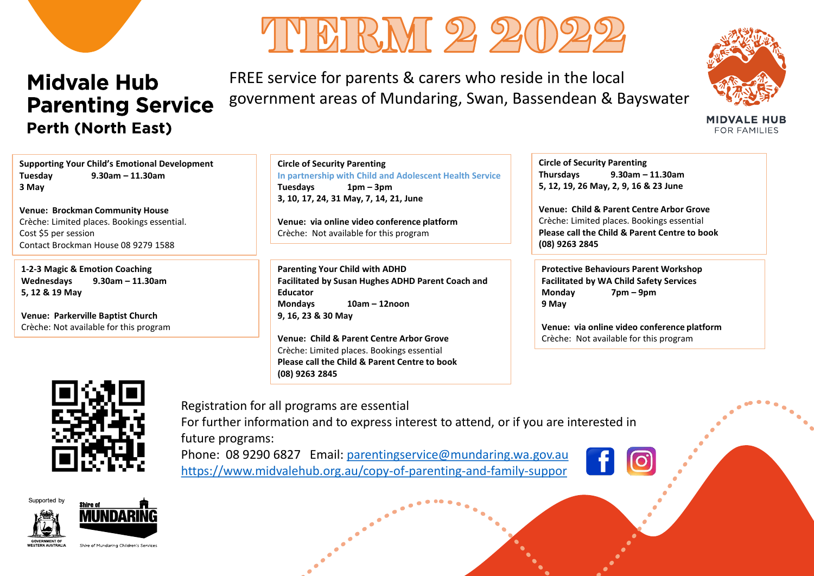



FREE service for parents & carers who reside in the local government areas of Mundaring, Swan, Bassendean & Bayswater



**MIDVALE HUB** FOR FAMILIES

**Supporting Your Child's Emotional Development Tuesday 9.30am – 11.30am 3 May** 

**Venue: Brockman Community House** Crèche: Limited places. Bookings essential. Cost \$5 per session Contact Brockman House 08 9279 1588

**1-2-3 Magic & Emotion Coaching Wednesdays 9.30am – 11.30am 5, 12 & 19 May**

**Venue: Parkerville Baptist Church** Crèche: Not available for this program **Circle of Security Parenting In partnership with Child and Adolescent Health Service Tuesdays 1pm – 3pm 3, 10, 17, 24, 31 May, 7, 14, 21, June**

**Venue: via online video conference platform**  Crèche: Not available for this program

**Parenting Your Child with ADHD Facilitated by Susan Hughes ADHD Parent Coach and Educator Mondays 10am – 12noon 9, 16, 23 & 30 May**

**Venue: Child & Parent Centre Arbor Grove** Crèche: Limited places. Bookings essential **Please call the Child & Parent Centre to book (08) 9263 2845**

**Circle of Security Parenting Thursdays 9.30am – 11.30am 5, 12, 19, 26 May, 2, 9, 16 & 23 June** 

**Venue: Child & Parent Centre Arbor Grove** Crèche: Limited places. Bookings essential **Please call the Child & Parent Centre to book (08) 9263 2845**

**Protective Behaviours Parent Workshop Facilitated by WA Child Safety Services Monday 7pm – 9pm 9 May** 

**Venue: via online video conference platform**  Crèche: Not available for this program



Registration for all programs are essential For further information and to express interest to attend, or if you are interested in future programs:

Phone: 08 9290 6827 Email: [parentingservice@mundaring.wa.gov.au](mailto:parentingservice@mundaring.wa.gov.au) <https://www.midvalehub.org.au/copy-of-parenting-and-family-suppor>



Supported by



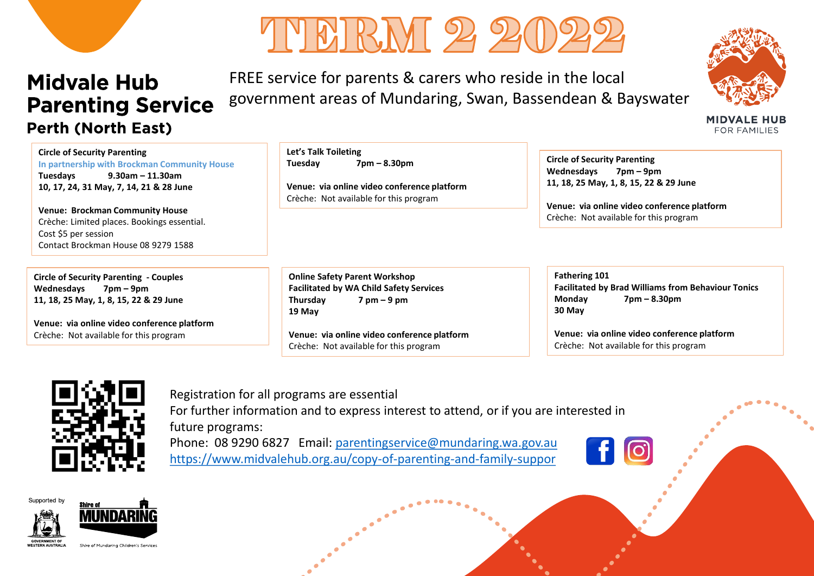



FREE service for parents & carers who reside in the local government areas of Mundaring, Swan, Bassendean & Bayswater



**MIDVALE HUB** FOR FAMILIES

**Circle of Security Parenting In partnership with Brockman Community House Tuesdays 9.30am – 11.30am 10, 17, 24, 31 May, 7, 14, 21 & 28 June**

**Venue: Brockman Community House** Crèche: Limited places. Bookings essential. Cost \$5 per session Contact Brockman House 08 9279 1588

**Circle of Security Parenting - Couples Wednesdays 7pm – 9pm 11, 18, 25 May, 1, 8, 15, 22 & 29 June**

**Venue: via online video conference platform**  Crèche: Not available for this program

**Let's Talk Toileting Tuesday 7pm – 8.30pm**

**Venue: via online video conference platform**  Crèche: Not available for this program

**Online Safety Parent Workshop Facilitated by WA Child Safety Services Thursday 7 pm – 9 pm 19 May** 

**Venue: via online video conference platform**  Crèche: Not available for this program

**Circle of Security Parenting Wednesdays 7pm – 9pm 11, 18, 25 May, 1, 8, 15, 22 & 29 June**

**Venue: via online video conference platform**  Crèche: Not available for this program

**Fathering 101 Facilitated by Brad Williams from Behaviour Tonics Monday 7pm – 8.30pm 30 May** 

**Venue: via online video conference platform**  Crèche: Not available for this program



Registration for all programs are essential For further information and to express interest to attend, or if you are interested in future programs: Phone: 08 9290 6827 Email: [parentingservice@mundaring.wa.gov.au](mailto:parentingservice@mundaring.wa.gov.au) <https://www.midvalehub.org.au/copy-of-parenting-and-family-suppor>

Supported by

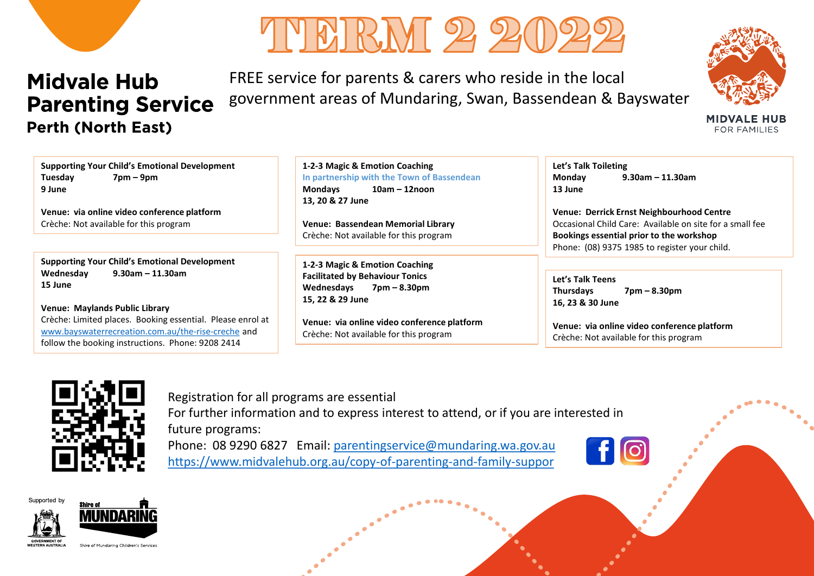



FREE service for parents & carers who reside in the local government areas of Mundaring, Swan, Bassendean & Bayswater



**MIDVALE HUB FOR FAMILIES** 

**Supporting Your Child's Emotional Development Tuesday 7pm – 9pm 9 June**

**Venue: via online video conference platform**  Crèche: Not available for this program

**Supporting Your Child's Emotional Development Wednesday 9.30am – 11.30am 15 June** 

**Venue: Maylands Public Library** Crèche: Limited places. Booking essential. Please enrol at [www.bayswaterrecreation.com.au/the-rise-creche](http://www.bayswaterrecreation.com.au/the-rise-creche) and follow the booking instructions. Phone: 9208 2414

**1-2-3 Magic & Emotion Coaching In partnership with the Town of Bassendean Mondays 10am – 12noon 13, 20 & 27 June**

**Venue: Bassendean Memorial Library** Crèche: Not available for this program

**1-2-3 Magic & Emotion Coaching Facilitated by Behaviour Tonics Wednesdays 7pm – 8.30pm 15, 22 & 29 June**

**Venue: via online video conference platform**  Crèche: Not available for this program

**Let's Talk Toileting Monday 9.30am – 11.30am 13 June**

**Venue: Derrick Ernst Neighbourhood Centre** Occasional Child Care: Available on site for a small fee **Bookings essential prior to the workshop** Phone: (08) 9375 1985 to register your child.

**Let's Talk Teens Thursdays 7pm – 8.30pm 16, 23 & 30 June**

**Venue: via online video conference platform**  Crèche: Not available for this program



Registration for all programs are essential

For further information and to express interest to attend, or if you are interested in future programs:

Phone: 08 9290 6827 Email: [parentingservice@mundaring.wa.gov.au](mailto:parentingservice@mundaring.wa.gov.au) <https://www.midvalehub.org.au/copy-of-parenting-and-family-suppor>



Supported by



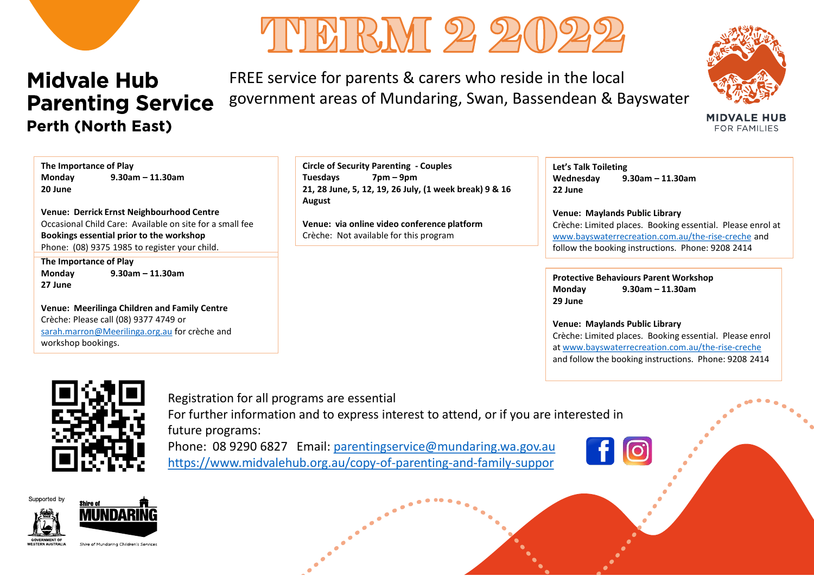



FREE service for parents & carers who reside in the local government areas of Mundaring, Swan, Bassendean & Bayswater



**MIDVALE HUB** FOR FAMILIES

**The Importance of Play Monday 9.30am – 11.30am 20 June**

**Venue: Derrick Ernst Neighbourhood Centre** Occasional Child Care: Available on site for a small fee **Bookings essential prior to the workshop** Phone: (08) 9375 1985 to register your child.

**The Importance of Play Monday 9.30am – 11.30am 27 June**

**Venue: Meerilinga Children and Family Centre** Crèche: Please call (08) 9377 4749 or [sarah.marron@Meerilinga.org.au](mailto:sarah.marron@Meerilinga.org.au) for crèche and workshop bookings.

**Circle of Security Parenting - Couples Tuesdays 7pm – 9pm 21, 28 June, 5, 12, 19, 26 July, (1 week break) 9 & 16 August**

**Venue: via online video conference platform**  Crèche: Not available for this program

**Let's Talk Toileting Wednesday 9.30am – 11.30am 22 June**

**Venue: Maylands Public Library** Crèche: Limited places. Booking essential. Please enrol at [www.bayswaterrecreation.com.au/the-rise-creche](http://www.bayswaterrecreation.com.au/the-rise-creche) and follow the booking instructions. Phone: 9208 2414

**Protective Behaviours Parent Workshop Monday 9.30am – 11.30am 29 June**

**Venue: Maylands Public Library** Crèche: Limited places. Booking essential. Please enrol at [www.bayswaterrecreation.com.au/the-rise-creche](http://www.bayswaterrecreation.com.au/the-rise-creche) and follow the booking instructions. Phone: 9208 2414



Registration for all programs are essential For further information and to express interest to attend, or if you are interested in future programs: Phone: 08 9290 6827 Email: [parentingservice@mundaring.wa.gov.au](mailto:parentingservice@mundaring.wa.gov.au)

<https://www.midvalehub.org.au/copy-of-parenting-and-family-suppor>



Supported by



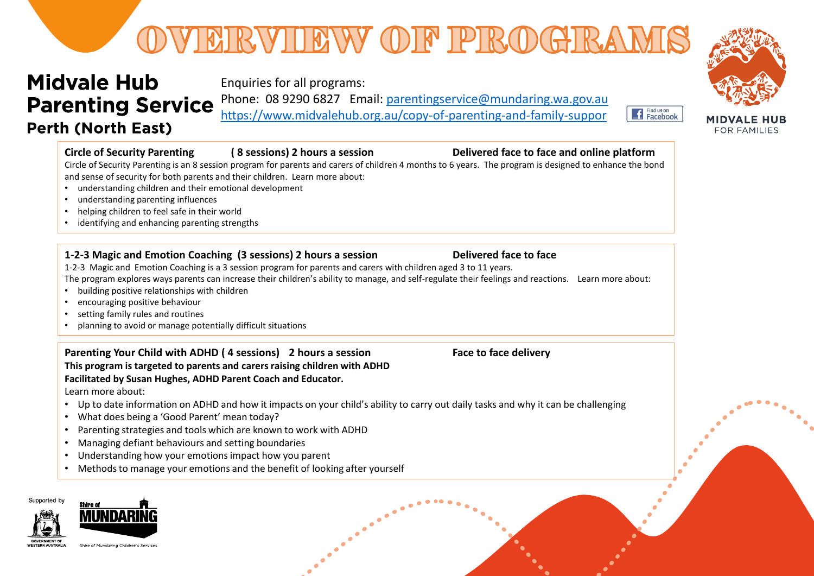# VERVIEW OF PROGRA

# **Midvale Hub Parenting Service Perth (North East)**

Enquiries for all programs:

Phone: 08 9290 6827 Email: [parentingservice@mundaring.wa.gov.au](mailto:parentingservice@mundaring.wa.gov.au)

<https://www.midvalehub.org.au/copy-of-parenting-and-family-suppor>





### **Circle of Security Parenting ( 8 sessions) 2 hours a session Delivered face to face and online platform**

Circle of Security Parenting is an 8 session program for parents and carers of children 4 months to 6 years. The program is designed to enhance the bond and sense of security for both parents and their children. Learn more about:

- understanding children and their emotional development
- understanding parenting influences
- helping children to feel safe in their world
- identifying and enhancing parenting strengths

### **1-2-3 Magic and Emotion Coaching (3 sessions) 2 hours a session Delivered face to face**

1-2-3 Magic and Emotion Coaching is a 3 session program for parents and carers with children aged 3 to 11 years.

The program explores ways parents can increase their children's ability to manage, and self-regulate their feelings and reactions. Learn more about:

- building positive relationships with children
- encouraging positive behaviour
- setting family rules and routines
- planning to avoid or manage potentially difficult situations

**Parenting Your Child with ADHD ( 4 sessions) 2 hours a session Face to face delivery This program is targeted to parents and carersraising children with ADHD Facilitated by Susan Hughes, ADHD Parent Coach and Educator.** Learn more about:

- Up to date information on ADHD and how it impacts on your child's ability to carry out daily tasks and why it can be challenging
- What does being a 'Good Parent' mean today?
- Parenting strategies and tools which are known to work with ADHD
- Managing defiant behaviours and setting boundaries
- Understanding how your emotions impact how you parent
- Methods to manage your emotions and the benefit of looking after yourself





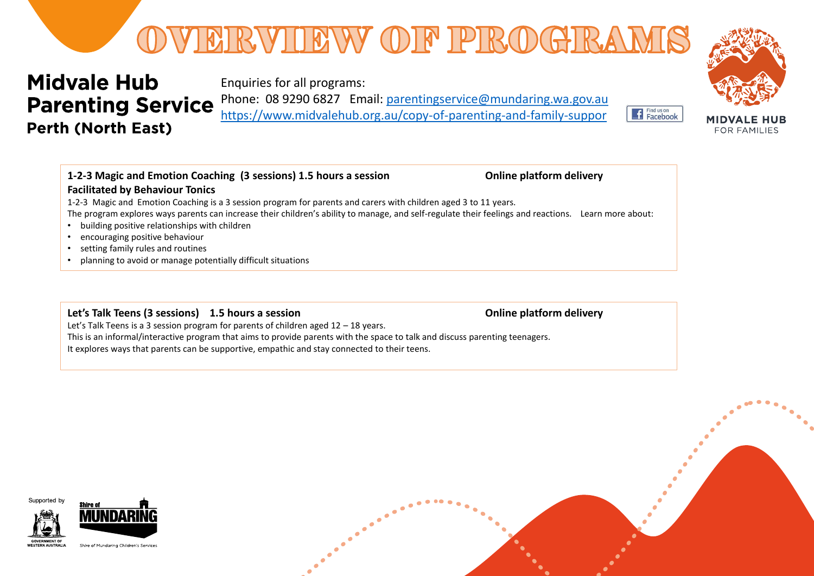

Enquiries for all programs:

Phone: 08 9290 6827 Email: [parentingservice@mundaring.wa.gov.au](mailto:parentingservice@mundaring.wa.gov.au) <https://www.midvalehub.org.au/copy-of-parenting-and-family-suppor>





### **1-2-3 Magic and Emotion Coaching (3 sessions) 1.5 hours a session Online platform delivery Facilitated by Behaviour Tonics**

1-2-3 Magic and Emotion Coaching is a 3 session program for parents and carers with children aged 3 to 11 years. The program explores ways parents can increase their children's ability to manage, and self-regulate their feelings and reactions. Learn more about:

- building positive relationships with children
- encouraging positive behaviour
- setting family rules and routines
- planning to avoid or manage potentially difficult situations

### **Let's Talk Teens (3 sessions) 1.5 hours a session <b>by Concernant Constant Condition** Conline platform delivery

Let's Talk Teens is a 3 session program for parents of children aged 12 – 18 years. This is an informal/interactive program that aims to provide parents with the space to talk and discuss parenting teenagers. It explores ways that parents can be supportive, empathic and stay connected to their teens.



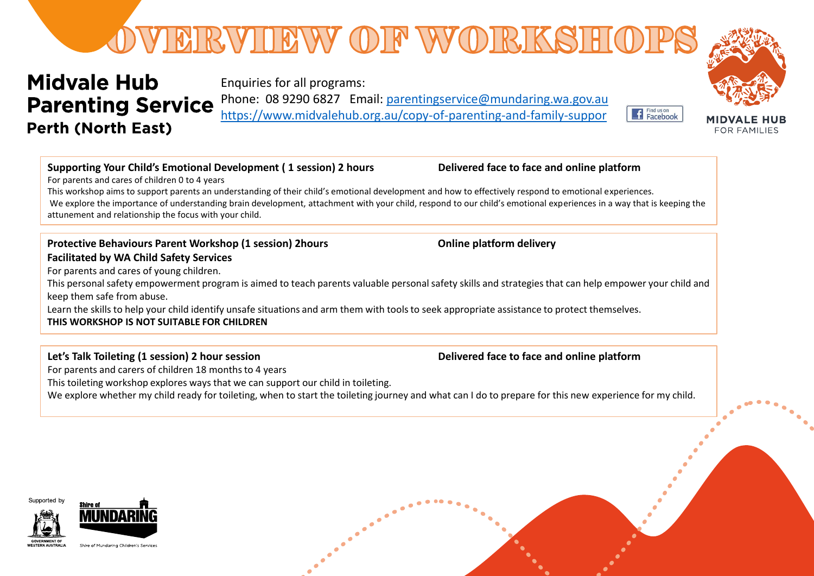# VERVIEW OF WORKSH

# **Midvale Hub Parenting Service Perth (North East)**

Enquiries for all programs:

Phone: 08 9290 6827 Email: [parentingservice@mundaring.wa.gov.au](mailto:parentingservice@mundaring.wa.gov.au) <https://www.midvalehub.org.au/copy-of-parenting-and-family-suppor>

## **Supporting Your Child's Emotional Development ( 1 session) 2 hours Delivered face to face and online platform**

For parents and cares of children 0 to 4 years

This workshop aims to support parents an understanding of their child's emotional development and how to effectively respond to emotional experiences. We explore the importance of understanding brain development, attachment with your child, respond to our child's emotional experiences in a way that is keeping the attunement and relationship the focus with your child.

### **Protective Behaviours Parent Workshop (1 session) 2hours <b>by Concept Conducts** Conline platform delivery **Facilitated by WA Child Safety Services**

For parents and cares of young children.

This personal safety empowerment program is aimed to teach parents valuable personal safety skills and strategies that can help empower your child and keep them safe from abuse.

Learn the skills to help your child identify unsafe situations and arm them with tools to seek appropriate assistance to protect themselves. **THIS WORKSHOP IS NOT SUITABLE FOR CHILDREN**

## Let's Talk Toileting (1 session) 2 hour session<br> **Delivered face to face and online platform**

For parents and carers of children 18 months to 4 years

This toileting workshop explores ways that we can support our child in toileting.

We explore whether my child ready for toileting, when to start the toileting journey and what can I do to prepare for this new experience for my child.









f Find us on<br>Facebook **FOR FAMILIES**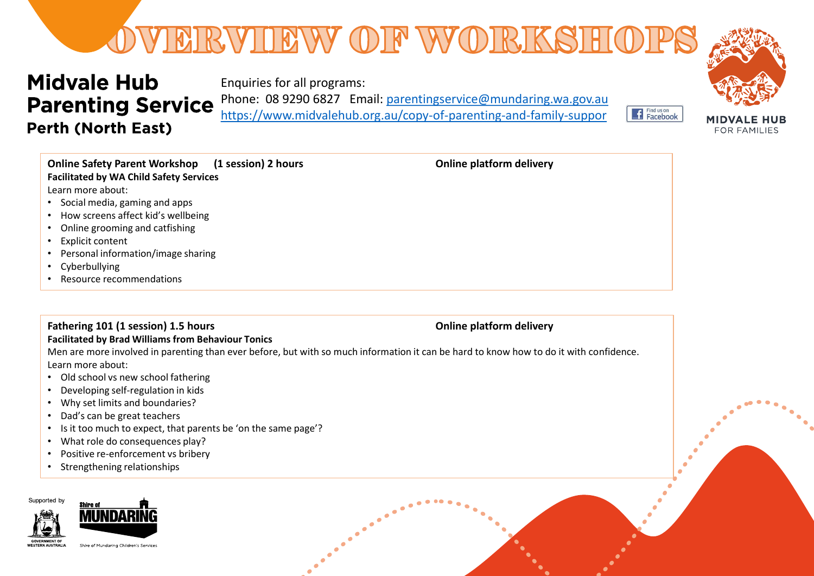# OVERVIEW OF WORKSHO

# **Midvale Hub Parenting Service Perth (North East)**

Enquiries for all programs: Phone: 08 9290 6827 Email: [parentingservice@mundaring.wa.gov.au](mailto:parentingservice@mundaring.wa.gov.au)

<https://www.midvalehub.org.au/copy-of-parenting-and-family-suppor>



FOR FAMILIES

Find us on<br>Facebook

| <b>Online Safety Parent Workshop</b><br>(1 session) 2 hours<br><b>Facilitated by WA Child Safety Services</b> | <b>Online platform delivery</b> |
|---------------------------------------------------------------------------------------------------------------|---------------------------------|
| Learn more about:                                                                                             |                                 |
| • Social media, gaming and apps                                                                               |                                 |
| • How screens affect kid's wellbeing                                                                          |                                 |
| • Online grooming and catfishing                                                                              |                                 |
| • Explicit content                                                                                            |                                 |
| • Personal information/image sharing                                                                          |                                 |
| • Cyberbullying                                                                                               |                                 |
| • Resource recommendations                                                                                    |                                 |

## **Fathering 101 (1 session) 1.5 hours** *Calcularies* **<b>Conservery** *Conline platform delivery* **Online platform delivery**

### **Facilitated by Brad Williams from Behaviour Tonics**

Men are more involved in parenting than ever before, but with so much information it can be hard to know how to do it with confidence. Learn more about:

- Old school vs new school fathering
- Developing self-regulation in kids
- Why set limits and boundaries?
- Dad's can be great teachers
- Is it too much to expect, that parents be 'on the same page'?
- What role do consequences play?
- Positive re-enforcement vs bribery
- Strengthening relationships